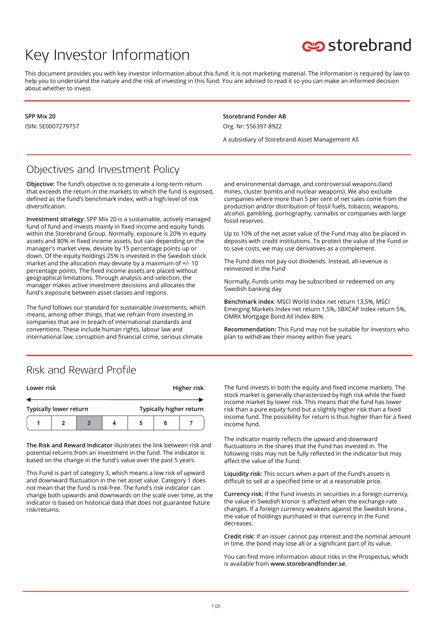# Key Investor Information



This document provides you with key investor information about this fund. It is not marketing material. The information is required by law to help you to understand the nature and the risk of investing in this fund. You are advised to read it so you can make an informed decision about whether to invest.

**SPP Mix 20** ISIN: SE0007279757 **Storebrand Fonder AB** Org. Nr: 556397-8922

A subsidiary of Storebrand Asset Management AS

#### Objectives and Investment Policy

**Objective:** The fund's objective is to generate a long-term return that exceeds the return in the markets to which the fund is exposed, defined as the fund's benchmark index, with a high level of risk diversification.

**Investment strategy**: SPP Mix 20 is a sustainable, actively managed fund of fund and invests mainly in fixed income and equity funds within the Storebrand Group. Normally, exposure is 20% in equity assets and 80% in fixed income assets, but can depending on the manager's market view, deviate by 15 percentage points up or down. Of the equity holdings 25% is invested in the Swedish stock market and the allocation may deviate by a maximum of +/- 10 percentage points. The fixed income assets are placed without geographical limitations. Through analysis and selection, the manager makes active investment decisions and allocates the fund's exposure between asset classes and regions.

The fund follows our standard for sustainable investments, which means, among other things, that we refrain from investing in companies that are in breach of international standards and conventions. These include human rights, labour law and international law, corruption and financial crime, serious climate

and environmental damage, and controversial weapons (land mines, cluster bombs and nuclear weapons). We also exclude companies where more than 5 per cent of net sales come from the production and/or distribution of fossil fuels, tobacco, weapons, alcohol, gambling, pornography, cannabis or companies with large fossil reserves.

Up to 10% of the net asset value of the Fund may also be placed in deposits with credit institutions. To protect the value of the Fund or to save costs, we may use derivatives as a complement.

The Fund does not pay out dividends. Instead, all revenue is reinvested in the Fund

Normally, Funds units may be subscribed or redeemed on any Swedish banking day

**Benchmark index**: MSCI World Index net return 13,5%, MSCI Emerging Markets Index net return 1,5%, SBXCAP Index return 5%, OMRX Mortgage Bond All Index 80%.

**Recommendation:** This Fund may not be suitable for investors who plan to withdraw their money within five years.

#### Risk and Reward Profile

| Lower risk                    |  |  | Higher risk |                         |  |  |
|-------------------------------|--|--|-------------|-------------------------|--|--|
|                               |  |  |             |                         |  |  |
| <b>Typically lower return</b> |  |  |             | Typically higher return |  |  |
|                               |  |  |             | 5                       |  |  |

**The Risk and Reward Indicator** illustrates the link between risk and potential returns from an investment in the fund. The indicator is based on the change in the fund's value over the past 5 years.

This Fund is part of category 3, which means a low risk of upward and downward fluctuation in the net asset value. Category 1 does not mean that the fund is risk-free. The fund's risk indicator can change both upwards and downwards on the scale over time, as the indicator is based on historical data that does not guarantee future risk/returns.

The fund invests in both the equity and fixed income markets. The stock market is generally characterized by high risk while the fixed income market by lower risk. This means that the fund has lower risk than a pure equity fund but a slightly higher risk than a fixed income fund. The possibility for return is thus higher than for a fixed income fund.

The indicator mainly reflects the upward and downward fluctuations in the shares that the Fund has invested in. The following risks may not be fully reflected in the indicator but may affect the value of the Fund:

**Liquidity risk:** This occurs when a part of the Fund's assets is difficult to sell at a specified time or at a reasonable price.

**Currency risk:** If the Fund invests in securities in a foreign currency, the value in Swedish kronor is affected when the exchange rate changes. If a foreign currency weakens against the Swedish krona , the value of holdings purchased in that currency in the Fund decreases.

**Credit risk:** If an issuer cannot pay interest and the nominal amount in time, the bond may lose all or a significant part of its value.

You can find more information about risks in the Prospectus, which is available from **www.storebrandfonder.se**.